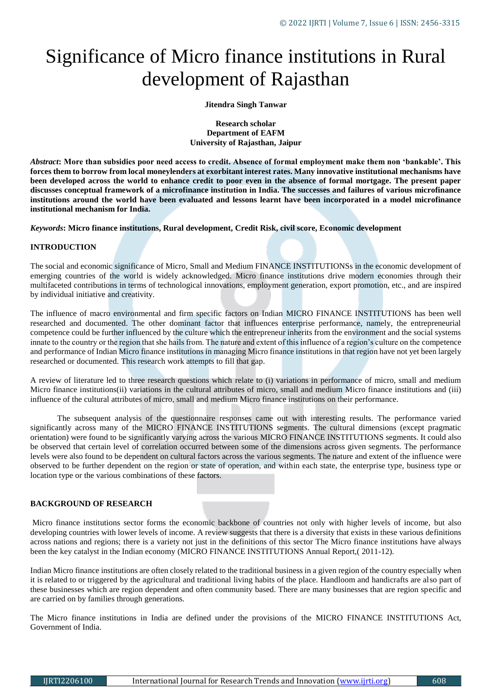# Significance of Micro finance institutions in Rural development of Rajasthan

**Jitendra Singh Tanwar**

**Research scholar Department of EAFM University of Rajasthan, Jaipur**

*Abstract***: More than subsidies poor need access to credit. Absence of formal employment make them non 'bankable'. This forces them to borrow from local moneylenders at exorbitant interest rates. Many innovative institutional mechanisms have been developed across the world to enhance credit to poor even in the absence of formal mortgage. The present paper discusses conceptual framework of a microfinance institution in India. The successes and failures of various microfinance institutions around the world have been evaluated and lessons learnt have been incorporated in a model microfinance institutional mechanism for India.**

*Keywords***: Micro finance institutions, Rural development, Credit Risk, civil score, Economic development**

# **INTRODUCTION**

The social and economic significance of Micro, Small and Medium FINANCE INSTITUTIONSs in the economic development of emerging countries of the world is widely acknowledged. Micro finance institutions drive modern economies through their multifaceted contributions in terms of technological innovations, employment generation, export promotion, etc., and are inspired by individual initiative and creativity.

The influence of macro environmental and firm specific factors on Indian MICRO FINANCE INSTITUTIONS has been well researched and documented. The other dominant factor that influences enterprise performance, namely, the entrepreneurial competence could be further influenced by the culture which the entrepreneur inherits from the environment and the social systems innate to the country or the region that she hails from. The nature and extent of this influence of a region's culture on the competence and performance of Indian Micro finance institutions in managing Micro finance institutions in that region have not yet been largely researched or documented. This research work attempts to fill that gap.

A review of literature led to three research questions which relate to (i) variations in performance of micro, small and medium Micro finance institutions(ii) variations in the cultural attributes of micro, small and medium Micro finance institutions and (iii) influence of the cultural attributes of micro, small and medium Micro finance institutions on their performance.

 The subsequent analysis of the questionnaire responses came out with interesting results. The performance varied significantly across many of the MICRO FINANCE INSTITUTIONS segments. The cultural dimensions (except pragmatic orientation) were found to be significantly varying across the various MICRO FINANCE INSTITUTIONS segments. It could also be observed that certain level of correlation occurred between some of the dimensions across given segments. The performance levels were also found to be dependent on cultural factors across the various segments. The nature and extent of the influence were observed to be further dependent on the region or state of operation, and within each state, the enterprise type, business type or location type or the various combinations of these factors.

## **BACKGROUND OF RESEARCH**

Micro finance institutions sector forms the economic backbone of countries not only with higher levels of income, but also developing countries with lower levels of income. A review suggests that there is a diversity that exists in these various definitions across nations and regions; there is a variety not just in the definitions of this sector The Micro finance institutions have always been the key catalyst in the Indian economy (MICRO FINANCE INSTITUTIONS Annual Report,( 2011-12).

Indian Micro finance institutions are often closely related to the traditional business in a given region of the country especially when it is related to or triggered by the agricultural and traditional living habits of the place. Handloom and handicrafts are also part of these businesses which are region dependent and often community based. There are many businesses that are region specific and are carried on by families through generations.

The Micro finance institutions in India are defined under the provisions of the MICRO FINANCE INSTITUTIONS Act, Government of India.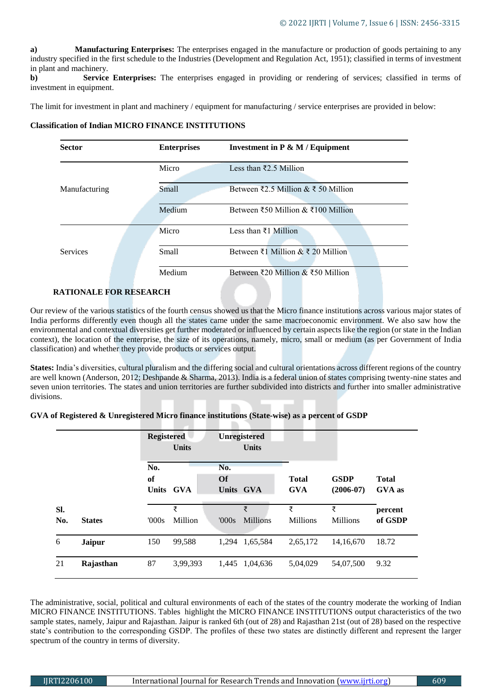**a) Manufacturing Enterprises:** The enterprises engaged in the manufacture or production of goods pertaining to any industry specified in the first schedule to the Industries (Development and Regulation Act, 1951); classified in terms of investment in plant and machinery.

**b)** Service Enterprises: The enterprises engaged in providing or rendering of services; classified in terms of investment in equipment.

The limit for investment in plant and machinery / equipment for manufacturing / service enterprises are provided in below:

#### **Classification of Indian MICRO FINANCE INSTITUTIONS**

| <b>Sector</b>   |  | <b>Enterprises</b> | Investment in $P \& M / Equation$                           |  |
|-----------------|--|--------------------|-------------------------------------------------------------|--|
| Manufacturing   |  | Micro              | Less than $\bar{\xi}$ 2.5 Million                           |  |
|                 |  | <b>Small</b>       | Between $\overline{2.5}$ Million & $\overline{2.5}$ Million |  |
|                 |  | Medium             | Between ₹50 Million & ₹100 Million                          |  |
|                 |  | Micro              | Less than ₹1 Million                                        |  |
| <b>Services</b> |  | <b>Small</b>       | Between ₹1 Million & ₹ 20 Million                           |  |
|                 |  | Medium             | Between ₹20 Million & ₹50 Million                           |  |

# **RATIONALE FOR RESEARCH**

Our review of the various statistics of the fourth census showed us that the Micro finance institutions across various major states of India performs differently even though all the states came under the same macroeconomic environment. We also saw how the environmental and contextual diversities get further moderated or influenced by certain aspects like the region (or state in the Indian context), the location of the enterprise, the size of its operations, namely, micro, small or medium (as per Government of India classification) and whether they provide products or services output.

**States:** India's diversities, cultural pluralism and the differing social and cultural orientations across different regions of the country are well known (Anderson, 2012; Deshpande & Sharma, 2013). India is a federal union of states comprising twenty-nine states and seven union territories. The states and union territories are further subdivided into districts and further into smaller administrative divisions.

## **GVA of Registered & Unregistered Micro finance institutions (State-wise) as a percent of GSDP**

|            |               |           | <b>Registered</b><br>Unregistered<br><b>Units</b><br><b>Units</b> |                               |                      |                            |                            |                               |
|------------|---------------|-----------|-------------------------------------------------------------------|-------------------------------|----------------------|----------------------------|----------------------------|-------------------------------|
|            |               | No.<br>of | Units GVA                                                         | No.<br><b>Of</b><br>Units GVA |                      | <b>Total</b><br><b>GVA</b> | <b>GSDP</b><br>$(2006-07)$ | <b>Total</b><br><b>GVA</b> as |
| SI.<br>No. | <b>States</b> | 000s      | ₹<br>Million                                                      | 000s                          | ₹<br><b>Millions</b> | ₹<br><b>Millions</b>       | ₹<br><b>Millions</b>       | percent<br>of GSDP            |
| 6          | <b>Jaipur</b> | 150       | 99,588                                                            | 1.294                         | 1,65,584             | 2,65,172                   | 14,16,670                  | 18.72                         |
| 21         | Rajasthan     | 87        | 3,99,393                                                          | 1,445                         | 1,04,636             | 5,04,029                   | 54,07,500                  | 9.32                          |

The administrative, social, political and cultural environments of each of the states of the country moderate the working of Indian MICRO FINANCE INSTITUTIONS. Tables highlight the MICRO FINANCE INSTITUTIONS output characteristics of the two sample states, namely, Jaipur and Rajasthan. Jaipur is ranked 6th (out of 28) and Rajasthan 21st (out of 28) based on the respective state's contribution to the corresponding GSDP. The profiles of these two states are distinctly different and represent the larger spectrum of the country in terms of diversity.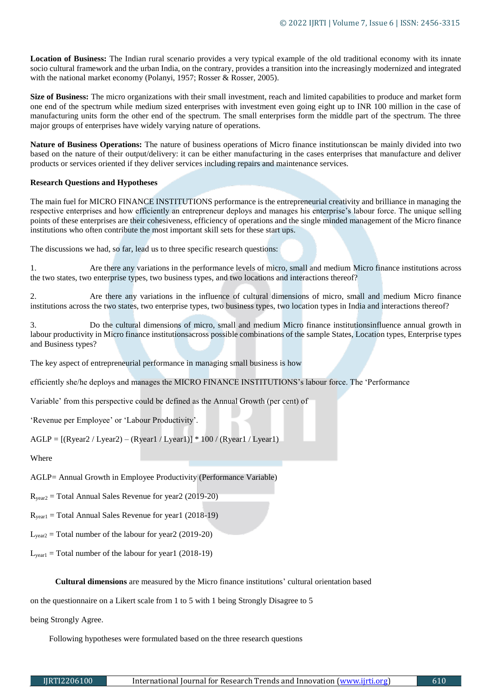**Location of Business:** The Indian rural scenario provides a very typical example of the old traditional economy with its innate socio cultural framework and the urban India, on the contrary, provides a transition into the increasingly modernized and integrated with the national market economy (Polanyi, 1957; Rosser & Rosser, 2005).

**Size of Business:** The micro organizations with their small investment, reach and limited capabilities to produce and market form one end of the spectrum while medium sized enterprises with investment even going eight up to INR 100 million in the case of manufacturing units form the other end of the spectrum. The small enterprises form the middle part of the spectrum. The three major groups of enterprises have widely varying nature of operations.

**Nature of Business Operations:** The nature of business operations of Micro finance institutionscan be mainly divided into two based on the nature of their output/delivery: it can be either manufacturing in the cases enterprises that manufacture and deliver products or services oriented if they deliver services including repairs and maintenance services.

# **Research Questions and Hypotheses**

The main fuel for MICRO FINANCE INSTITUTIONS performance is the entrepreneurial creativity and brilliance in managing the respective enterprises and how efficiently an entrepreneur deploys and manages his enterprise's labour force. The unique selling points of these enterprises are their cohesiveness, efficiency of operations and the single minded management of the Micro finance institutions who often contribute the most important skill sets for these start ups.

The discussions we had, so far, lead us to three specific research questions:

1. Are there any variations in the performance levels of micro, small and medium Micro finance institutions across the two states, two enterprise types, two business types, and two locations and interactions thereof?

2. Are there any variations in the influence of cultural dimensions of micro, small and medium Micro finance institutions across the two states, two enterprise types, two business types, two location types in India and interactions thereof?

3. Do the cultural dimensions of micro, small and medium Micro finance institutionsinfluence annual growth in labour productivity in Micro finance institutionsacross possible combinations of the sample States, Location types, Enterprise types and Business types?

The key aspect of entrepreneurial performance in managing small business is how

efficiently she/he deploys and manages the MICRO FINANCE INSTITUTIONS's labour force. The 'Performance

Variable' from this perspective could be defined as the Annual Growth (per cent) of

'Revenue per Employee' or 'Labour Productivity'.

 $AGLP = [(Ryear2 / Lyear2) - (Ryear1 / Lyear1)] * 100 / (Ryear1 / Lyear1)$ 

Where

AGLP= Annual Growth in Employee Productivity (Performance Variable)

 $R_{year2}$  = Total Annual Sales Revenue for year 2 (2019-20)

 $R_{\text{year1}}$  = Total Annual Sales Revenue for year1 (2018-19)

 $L_{\text{year2}}$  = Total number of the labour for year 2 (2019-20)

 $L_{\text{year1}}$  = Total number of the labour for year1 (2018-19)

**Cultural dimensions** are measured by the Micro finance institutions' cultural orientation based

on the questionnaire on a Likert scale from 1 to 5 with 1 being Strongly Disagree to 5

being Strongly Agree.

Following hypotheses were formulated based on the three research questions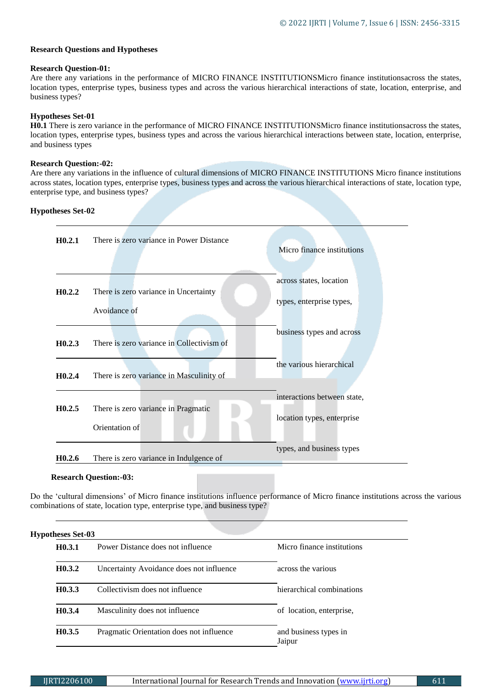## **Research Questions and Hypotheses**

#### **Research Question-01:**

Are there any variations in the performance of MICRO FINANCE INSTITUTIONSMicro finance institutionsacross the states, location types, enterprise types, business types and across the various hierarchical interactions of state, location, enterprise, and business types?

## **Hypotheses Set-01**

**H0.1** There is zero variance in the performance of MICRO FINANCE INSTITUTIONSMicro finance institutionsacross the states, location types, enterprise types, business types and across the various hierarchical interactions between state, location, enterprise, and business types

## **Research Question:-02:**

Are there any variations in the influence of cultural dimensions of MICRO FINANCE INSTITUTIONS Micro finance institutions across states, location types, enterprise types, business types and across the various hierarchical interactions of state, location type, enterprise type, and business types?

## **Hypotheses Set-02**

| H <sub>0.2.1</sub> | There is zero variance in Power Distance  | Micro finance institutions  |
|--------------------|-------------------------------------------|-----------------------------|
| H0.2.2             | There is zero variance in Uncertainty     | across states, location     |
|                    | Avoidance of                              | types, enterprise types,    |
| H0.2.3             | There is zero variance in Collectivism of | business types and across   |
| H0.2.4             | There is zero variance in Masculinity of  | the various hierarchical    |
| H0.2.5             | There is zero variance in Pragmatic       | interactions between state, |
|                    | Orientation of                            | location types, enterprise  |
| H <sub>0.2.6</sub> | There is zero variance in Indulgence of   | types, and business types   |

#### **Research Question:-03:**

Do the 'cultural dimensions' of Micro finance institutions influence performance of Micro finance institutions across the various combinations of state, location type, enterprise type, and business type?

| H <sub>0.3.1</sub> | Power Distance does not influence        | Micro finance institutions      |  |
|--------------------|------------------------------------------|---------------------------------|--|
| H0.3.2             | Uncertainty Avoidance does not influence | across the various              |  |
| H <sub>0.3.3</sub> | Collectivism does not influence          | hierarchical combinations       |  |
| H <sub>0.3.4</sub> | Masculinity does not influence           | of location, enterprise,        |  |
| H0.3.5             | Pragmatic Orientation does not influence | and business types in<br>Jaipur |  |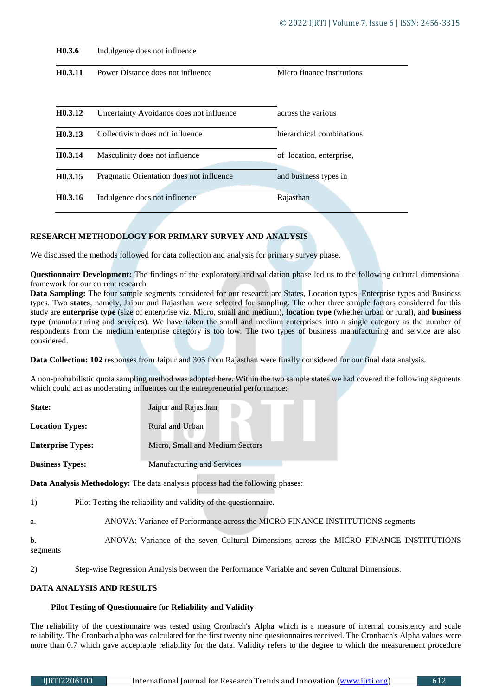| H <sub>0.3.6</sub>   | Indulgence does not influence            |                            |
|----------------------|------------------------------------------|----------------------------|
| H <sub>0</sub> .3.11 | Power Distance does not influence        | Micro finance institutions |
| H <sub>0.3.12</sub>  | Uncertainty Avoidance does not influence | across the various         |
| H <sub>0.3.13</sub>  | Collectivism does not influence          | hierarchical combinations  |
| H <sub>0.3.14</sub>  | Masculinity does not influence           | of location, enterprise,   |
| H <sub>0</sub> .3.15 | Pragmatic Orientation does not influence | and business types in      |
| H <sub>0.3</sub> .16 | Indulgence does not influence            | Rajasthan                  |

# **RESEARCH METHODOLOGY FOR PRIMARY SURVEY AND ANALYSIS**

We discussed the methods followed for data collection and analysis for primary survey phase.

**Questionnaire Development:** The findings of the exploratory and validation phase led us to the following cultural dimensional framework for our current research

**Data Sampling:** The four sample segments considered for our research are States, Location types, Enterprise types and Business types. Two **states**, namely, Jaipur and Rajasthan were selected for sampling. The other three sample factors considered for this study are **enterprise type** (size of enterprise viz. Micro, small and medium), **location type** (whether urban or rural), and **business type** (manufacturing and services). We have taken the small and medium enterprises into a single category as the number of respondents from the medium enterprise category is too low. The two types of business manufacturing and service are also considered.

**Data Collection: 102** responses from Jaipur and 305 from Rajasthan were finally considered for our final data analysis.

A non-probabilistic quota sampling method was adopted here. Within the two sample states we had covered the following segments which could act as moderating influences on the entrepreneurial performance:

| State:                                                                         | Jaipur and Rajasthan            |  |  |
|--------------------------------------------------------------------------------|---------------------------------|--|--|
| <b>Location Types:</b>                                                         | Rural and Urban                 |  |  |
| <b>Enterprise Types:</b>                                                       | Micro, Small and Medium Sectors |  |  |
| <b>Business Types:</b>                                                         | Manufacturing and Services      |  |  |
| Data Analysis Methodology: The data analysis process had the following phases: |                                 |  |  |

| 1)                         | Pilot Testing the reliability and validity of the questionnaire.                       |
|----------------------------|----------------------------------------------------------------------------------------|
| a.                         | ANOVA: Variance of Performance across the MICRO FINANCE INSTITUTIONS segments          |
| $\mathbf{b}$ .<br>segments | ANOVA: Variance of the seven Cultural Dimensions across the MICRO FINANCE INSTITUTIONS |

2) Step-wise Regression Analysis between the Performance Variable and seven Cultural Dimensions.

# **DATA ANALYSIS AND RESULTS**

#### **Pilot Testing of Questionnaire for Reliability and Validity**

The reliability of the questionnaire was tested using Cronbach's Alpha which is a measure of internal consistency and scale reliability. The Cronbach alpha was calculated for the first twenty nine questionnaires received. The Cronbach's Alpha values were more than 0.7 which gave acceptable reliability for the data. Validity refers to the degree to which the measurement procedure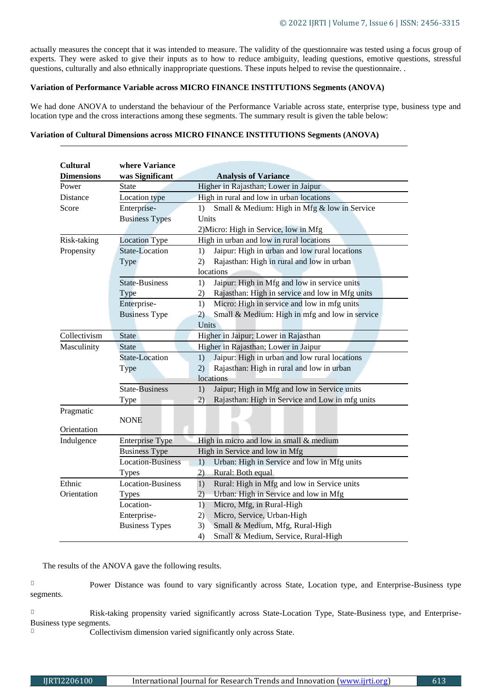actually measures the concept that it was intended to measure. The validity of the questionnaire was tested using a focus group of experts. They were asked to give their inputs as to how to reduce ambiguity, leading questions, emotive questions, stressful questions, culturally and also ethnically inappropriate questions. These inputs helped to revise the questionnaire. .

#### **Variation of Performance Variable across MICRO FINANCE INSTITUTIONS Segments (ANOVA)**

We had done ANOVA to understand the behaviour of the Performance Variable across state, enterprise type, business type and location type and the cross interactions among these segments. The summary result is given the table below:

#### **Variation of Cultural Dimensions across MICRO FINANCE INSTITUTIONS Segments (ANOVA)**

| <b>Cultural</b>   | where Variance           |                                                       |  |  |
|-------------------|--------------------------|-------------------------------------------------------|--|--|
| <b>Dimensions</b> | was Significant          | <b>Analysis of Variance</b>                           |  |  |
| Power             | State                    | Higher in Rajasthan; Lower in Jaipur                  |  |  |
| Distance          | Location type            | High in rural and low in urban locations              |  |  |
| Score             | Enterprise-              | Small & Medium: High in Mfg & low in Service<br>1)    |  |  |
|                   | <b>Business Types</b>    | Units                                                 |  |  |
|                   |                          | 2) Micro: High in Service, low in Mfg                 |  |  |
| Risk-taking       | <b>Location Type</b>     | High in urban and low in rural locations              |  |  |
| Propensity        | State-Location           | Jaipur: High in urban and low rural locations<br>1)   |  |  |
|                   | Type                     | Rajasthan: High in rural and low in urban<br>2)       |  |  |
|                   |                          | locations                                             |  |  |
|                   | <b>State-Business</b>    | Jaipur: High in Mfg and low in service units<br>1)    |  |  |
|                   | Type                     | Rajasthan: High in service and low in Mfg units<br>2) |  |  |
|                   | Enterprise-              | Micro: High in service and low in mfg units<br>1)     |  |  |
|                   | <b>Business Type</b>     | Small & Medium: High in mfg and low in service<br>2)  |  |  |
|                   |                          | Units                                                 |  |  |
| Collectivism      | <b>State</b>             | Higher in Jaipur; Lower in Rajasthan                  |  |  |
| Masculinity       | <b>State</b>             | Higher in Rajasthan; Lower in Jaipur                  |  |  |
|                   | State-Location           | Jaipur: High in urban and low rural locations<br>1)   |  |  |
|                   | Type                     | Rajasthan: High in rural and low in urban<br>2)       |  |  |
|                   |                          | locations                                             |  |  |
|                   | <b>State-Business</b>    | Jaipur; High in Mfg and low in Service units<br>1)    |  |  |
|                   | Type                     | Rajasthan: High in Service and Low in mfg units<br>2) |  |  |
| Pragmatic         |                          |                                                       |  |  |
|                   | <b>NONE</b>              |                                                       |  |  |
| Orientation       |                          |                                                       |  |  |
| Indulgence        | <b>Enterprise Type</b>   | High in micro and low in small $&$ medium             |  |  |
|                   | <b>Business Type</b>     | High in Service and low in Mfg                        |  |  |
|                   | <b>Location-Business</b> | Urban: High in Service and low in Mfg units<br>1)     |  |  |
|                   | <b>Types</b>             | 2)<br>Rural: Both equal                               |  |  |
| Ethnic            | Location-Business        | Rural: High in Mfg and low in Service units<br>1)     |  |  |
| Orientation       | <b>Types</b>             | Urban: High in Service and low in Mfg<br>2)           |  |  |
|                   | Location-                | Micro, Mfg, in Rural-High<br>1)                       |  |  |
|                   | Enterprise-              | Micro, Service, Urban-High<br>2)                      |  |  |
|                   | <b>Business Types</b>    | Small & Medium, Mfg, Rural-High<br>3)                 |  |  |
|                   |                          | Small & Medium, Service, Rural-High<br>4)             |  |  |

The results of the ANOVA gave the following results.

 $\Box$ Power Distance was found to vary significantly across State, Location type, and Enterprise-Business type segments.

 $\Box$ Risk-taking propensity varied significantly across State-Location Type, State-Business type, and Enterprise-Business type segments.  $\Box$ 

Collectivism dimension varied significantly only across State.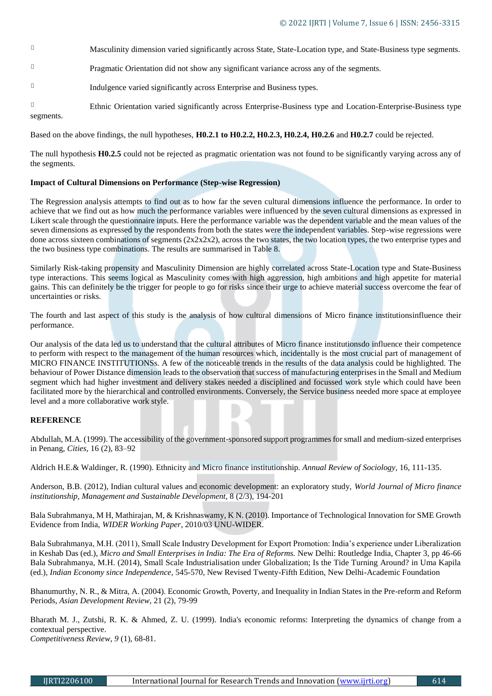- $\Box$ Masculinity dimension varied significantly across State, State-Location type, and State-Business type segments.
- $\overline{\phantom{a}}$ Pragmatic Orientation did not show any significant variance across any of the segments.
- $\Box$ Indulgence varied significantly across Enterprise and Business types.
- $\Box$ Ethnic Orientation varied significantly across Enterprise-Business type and Location-Enterprise-Business type segments.

Based on the above findings, the null hypotheses, **H0.2.1 to H0.2.2, H0.2.3, H0.2.4, H0.2.6** and **H0.2.7** could be rejected.

The null hypothesis **H0.2.5** could not be rejected as pragmatic orientation was not found to be significantly varying across any of the segments.

## **Impact of Cultural Dimensions on Performance (Step-wise Regression)**

The Regression analysis attempts to find out as to how far the seven cultural dimensions influence the performance. In order to achieve that we find out as how much the performance variables were influenced by the seven cultural dimensions as expressed in Likert scale through the questionnaire inputs. Here the performance variable was the dependent variable and the mean values of the seven dimensions as expressed by the respondents from both the states were the independent variables. Step-wise regressions were done across sixteen combinations of segments  $(2x2x2x2)$ , across the two states, the two location types, the two enterprise types and the two business type combinations. The results are summarised in Table 8.

Similarly Risk-taking propensity and Masculinity Dimension are highly correlated across State-Location type and State-Business type interactions. This seems logical as Masculinity comes with high aggression, high ambitions and high appetite for material gains. This can definitely be the trigger for people to go for risks since their urge to achieve material success overcome the fear of uncertainties or risks.

The fourth and last aspect of this study is the analysis of how cultural dimensions of Micro finance institutionsinfluence their performance.

Our analysis of the data led us to understand that the cultural attributes of Micro finance institutionsdo influence their competence to perform with respect to the management of the human resources which, incidentally is the most crucial part of management of MICRO FINANCE INSTITUTIONSs. A few of the noticeable trends in the results of the data analysis could be highlighted. The behaviour of Power Distance dimension leads to the observation that success of manufacturing enterprises in the Small and Medium segment which had higher investment and delivery stakes needed a disciplined and focussed work style which could have been facilitated more by the hierarchical and controlled environments. Conversely, the Service business needed more space at employee level and a more collaborative work style.

## **REFERENCE**

Abdullah, M.A. (1999). The accessibility of the government-sponsored support programmes for small and medium-sized enterprises in Penang, *Cities,* 16 (2), 83–92

Aldrich H.E.& Waldinger, R. (1990). Ethnicity and Micro finance institutionship. *Annual Review of Sociology,* 16, 111-135.

Anderson, B.B. (2012), Indian cultural values and economic development: an exploratory study, *World Journal of Micro finance institutionship, Management and Sustainable Development*, 8 (2/3), 194-201

Bala Subrahmanya, M H, Mathirajan, M, & Krishnaswamy, K N. (2010). Importance of Technological Innovation for SME Growth Evidence from India, *WIDER Working Paper*, 2010/03 UNU-WIDER.

Bala Subrahmanya, M.H. (2011), Small Scale Industry Development for Export Promotion: India's experience under Liberalization in Keshab Das (ed.), *Micro and Small Enterprises in India: The Era of Reforms*. New Delhi: Routledge India, Chapter 3, pp 46-66 Bala Subrahmanya, M.H. (2014), Small Scale Industrialisation under Globalization; Is the Tide Turning Around? in Uma Kapila (ed.), *Indian Economy since Independence,* 545-570, New Revised Twenty-Fifth Edition, New Delhi-Academic Foundation

Bhanumurthy, N. R., & Mitra, A. (2004). Economic Growth, Poverty, and Inequality in Indian States in the Pre-reform and Reform Periods, *Asian Development Review*, 21 (2), 79-99

[Bharath M. J](http://search.proquest.com/docview.lateralsearchlink:lateralsearch/sng/author/Josiam,+Bharath+M/$N?t:ac=213074013/Record/1342586792161E192FD/56&t:cp=maintain/resultcitationblocks)., [Zutshi, R. K.](http://search.proquest.com/docview.lateralsearchlink:lateralsearch/sng/author/Zutshi,+Ravinder+K/$N?t:ac=213074013/Record/1342586792161E192FD/56&t:cp=maintain/resultcitationblocks) & [Ahmed, Z. U.](http://search.proquest.com/docview.lateralsearchlink:lateralsearch/sng/author/Ahmed,+Zafar+U/$N?t:ac=213074013/Record/1342586792161E192FD/56&t:cp=maintain/resultcitationblocks) (1999). India's economic reforms: Interpreting the dynamics of change from a contextual perspective.

*[Competitiveness Review](http://search.proquest.com/docview.lateralsearchlinkbypubid:lateralsearch/sng/pubtitle/Competitiveness+Review/$N/32909?t:ac=213074013/Record/1342586792161E192FD/56&t:cp=maintain/resultcitationblocks)*, *9* (1), 68-81.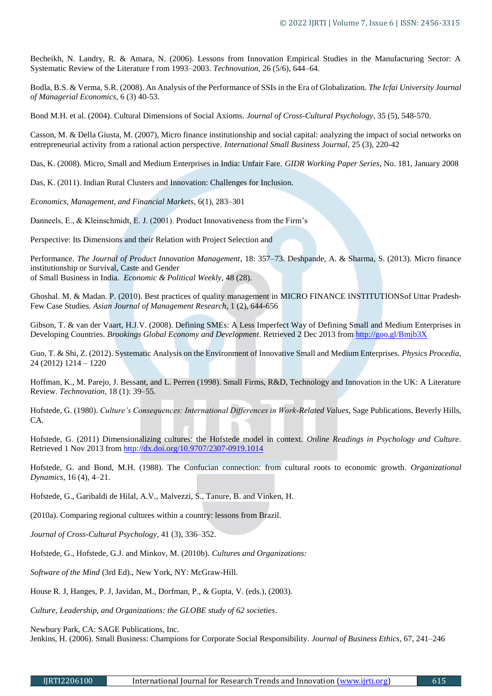Becheikh, N. Landry, R. & Amara, N. (2006). Lessons from Innovation Empirical Studies in the Manufacturing Sector: A Systematic Review of the Literature f rom 1993–2003. *Technovation,* 26 (5/6), 644–64.

Bodla, B.S. & Verma, S.R. (2008). An Analysis of the Performance of SSIs in the Era of Globalization. *The Icfai University Journal of Managerial Economics*, 6 (3) 40-53.

Bond M.H. et al. (2004). Cultural Dimensions of Social Axioms. *Journal of Cross-Cultural Psychology*, 35 (5), 548-570.

Casson, M. & Della Giusta, M. (2007), Micro finance institutionship and social capital: analyzing the impact of social networks on entrepreneurial activity from a rational action perspective. *International Small Business Journal*, 25 (3), 220-42

Das, K. (2008). Micro, Small and Medium Enterprises in India: Unfair Fare. *GIDR Working Paper Series*, No. 181, January 2008

Das, K. (2011). Indian Rural Clusters and Innovation: Challenges for Inclusion.

*Economics, Management, and Financial Markets*, 6(1), 283–301

Danneels, E., & Kleinschmidt, E. J. (2001). Product Innovativeness from the Firm's

Perspective: Its Dimensions and their Relation with Project Selection and

Performance. *The Journal of Product Innovation Management*, 18: 357–73. Deshpande, A. & Sharma, S. (2013). Micro finance institutionship or Survival, Caste and Gender of Small Business in India. *Economic & Political Weekly*, 48 (28).

Ghoshal. M. & Madan. P. (2010). Best practices of quality management in MICRO FINANCE INSTITUTIONSof Uttar Pradesh-Few Case Studies. *Asian Journal of Management Research*, 1 (2), 644-656

Gibson, T. & van der Vaart, H.J.V. (2008). Defining SMEs: A Less Imperfect Way of Defining Small and Medium Enterprises in Developing Countries. *Brookings Global Economy and Development*. Retrieved 2 Dec 2013 from <http://goo.gl/Bmjb3X>

Guo, T. & Shi, Z. (2012). Systematic Analysis on the Environment of Innovative Small and Medium Enterprises. *Physics Procedia*, 24 (2012) 1214 – 1220

Hoffman, K., M. Parejo, J. Bessant, and L. Perren (1998). Small Firms, R&D, Technology and Innovation in the UK: A Literature Review. *Technovation,* 18 (1): 39–55.

Hofstede, G. (1980). *Culture's Consequences: International Differences in Work-Related Values*, Sage Publications, Beverly Hills, CA.

Hofstede, G. (2011) Dimensionalizing cultures: the Hofstede model in context. *Online Readings in Psychology and Culture*. Retrieved 1 Nov 2013 from <http://dx.doi.org/10.9707/2307-0919.1014>

Hofstede, G. and Bond, M.H. (1988). The Confucian connection: from cultural roots to economic growth. *Organizational Dynamics*, 16 (4), 4–21.

Hofstede, G., Garibaldi de Hilal, A.V., Malvezzi, S., Tanure, B. and Vinken, H.

(2010a). Comparing regional cultures within a country: lessons from Brazil.

*Journal of Cross-Cultural Psychology*, 41 (3), 336–352.

Hofstede, G., Hofstede, G.J. and Minkov, M. (2010b). *Cultures and Organizations:*

*Software of the Mind* (3rd Ed)., New York, NY: McGraw-Hill.

House R. J, Hanges, P. J, Javidan, M., Dorfman, P., & Gupta, V. (eds.), (2003).

*Culture, Leadership, and Organizations: the GLOBE study of 62 societies*.

Newbury Park, CA: SAGE Publications, Inc.

Jenkins, H. (2006). Small Business: Champions for Corporate Social Responsibility. *Journal of Business Ethics*, 67, 241–246